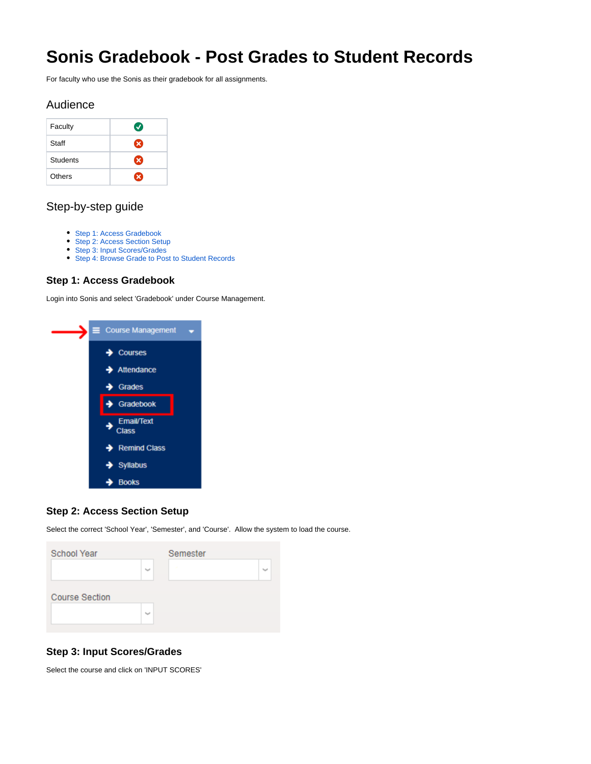# **Sonis Gradebook - Post Grades to Student Records**

For faculty who use the Sonis as their gradebook for all assignments.

### Audience

| Faculty  | Ø |
|----------|---|
| Staff    | Ø |
| Students | œ |
| Others   | × |

## Step-by-step guide

- [Step 1: Access Gradebook](#page-0-0)
- [Step 2: Access Section Setup](#page-0-1)
- [Step 3: Input Scores/Grades](#page-0-2)
- [Step 4: Browse Grade to Post to Student Records](#page-1-0)

#### <span id="page-0-0"></span>**Step 1: Access Gradebook**

Login into Sonis and select 'Gradebook' under Course Management.



#### <span id="page-0-1"></span>**Step 2: Access Section Setup**

Select the correct 'School Year', 'Semester', and 'Course'. Allow the system to load the course.

| <b>School Year</b>    |         | Semester |  |  |
|-----------------------|---------|----------|--|--|
|                       | المسالة |          |  |  |
| <b>Course Section</b> |         |          |  |  |
|                       | أنسبا   |          |  |  |

#### <span id="page-0-2"></span>**Step 3: Input Scores/Grades**

Select the course and click on 'INPUT SCORES'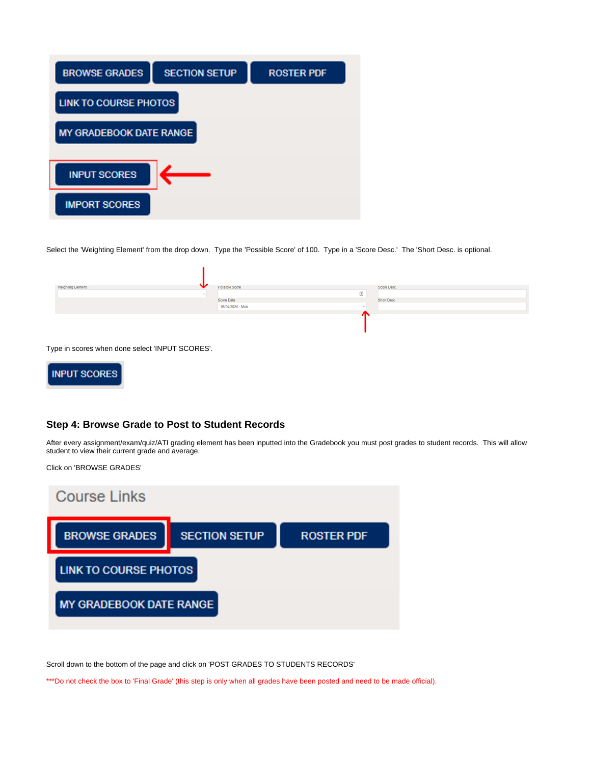

Select the 'Weighting Element' from the drop down. Type the 'Possible Score' of 100. Type in a 'Score Desc.' The 'Short Desc. is optional.

| Weighting Element | Possible Score   |       | Score Desc. |
|-------------------|------------------|-------|-------------|
|                   |                  | $\Xi$ |             |
|                   | Score Date       |       | Short Desc  |
|                   | 05/04/2020 - Mon |       |             |
|                   |                  |       |             |
|                   |                  |       |             |
|                   |                  |       |             |
|                   |                  |       |             |
|                   |                  |       |             |

Type in scores when done select 'INPUT SCORES'.



#### <span id="page-1-0"></span>**Step 4: Browse Grade to Post to Student Records**

After every assignment/exam/quiz/ATI grading element has been inputted into the Gradebook you must post grades to student records. This will allow student to view their current grade and average.

Click on 'BROWSE GRADES'



Scroll down to the bottom of the page and click on 'POST GRADES TO STUDENTS RECORDS'

\*\*\*Do not check the box to 'Final Grade' (this step is only when all grades have been posted and need to be made official).